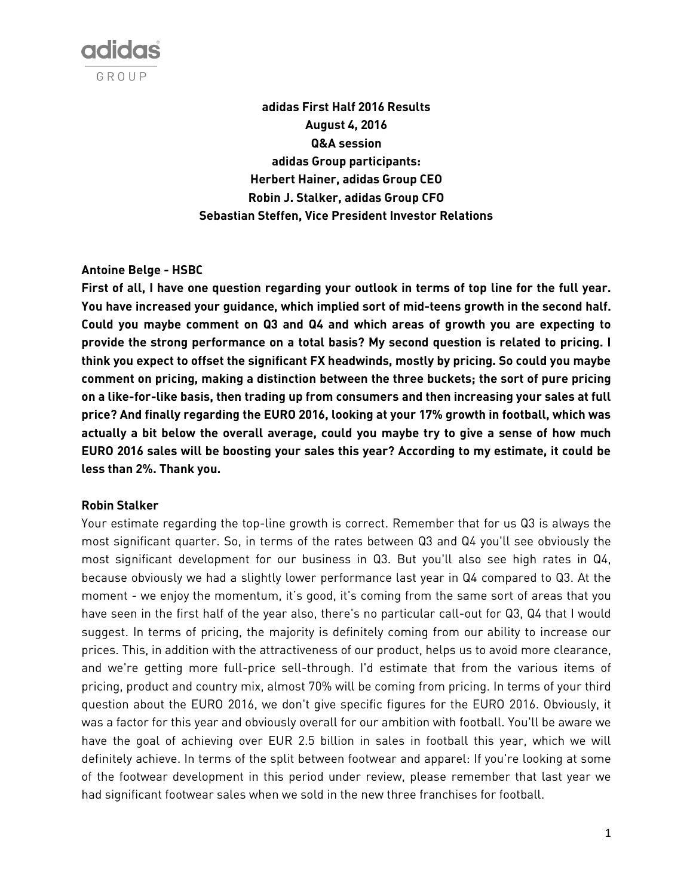

**adidas First Half 2016 Results August 4, 2016 Q&A session adidas Group participants: Herbert Hainer, adidas Group CEO Robin J. Stalker, adidas Group CFO Sebastian Steffen, Vice President Investor Relations**

## **Antoine Belge - HSBC**

**First of all, I have one question regarding your outlook in terms of top line for the full year. You have increased your guidance, which implied sort of mid-teens growth in the second half. Could you maybe comment on Q3 and Q4 and which areas of growth you are expecting to provide the strong performance on a total basis? My second question is related to pricing. I think you expect to offset the significant FX headwinds, mostly by pricing. So could you maybe comment on pricing, making a distinction between the three buckets; the sort of pure pricing on a like-for-like basis, then trading up from consumers and then increasing your sales at full price? And finally regarding the EURO 2016, looking at your 17% growth in football, which was actually a bit below the overall average, could you maybe try to give a sense of how much EURO 2016 sales will be boosting your sales this year? According to my estimate, it could be less than 2%. Thank you.**

#### **Robin Stalker**

Your estimate regarding the top-line growth is correct. Remember that for us Q3 is always the most significant quarter. So, in terms of the rates between Q3 and Q4 you'll see obviously the most significant development for our business in Q3. But you'll also see high rates in Q4, because obviously we had a slightly lower performance last year in Q4 compared to Q3. At the moment - we enjoy the momentum, it's good, it's coming from the same sort of areas that you have seen in the first half of the year also, there's no particular call-out for Q3, Q4 that I would suggest. In terms of pricing, the majority is definitely coming from our ability to increase our prices. This, in addition with the attractiveness of our product, helps us to avoid more clearance, and we're getting more full-price sell-through. I'd estimate that from the various items of pricing, product and country mix, almost 70% will be coming from pricing. In terms of your third question about the EURO 2016, we don't give specific figures for the EURO 2016. Obviously, it was a factor for this year and obviously overall for our ambition with football. You'll be aware we have the goal of achieving over EUR 2.5 billion in sales in football this year, which we will definitely achieve. In terms of the split between footwear and apparel: If you're looking at some of the footwear development in this period under review, please remember that last year we had significant footwear sales when we sold in the new three franchises for football.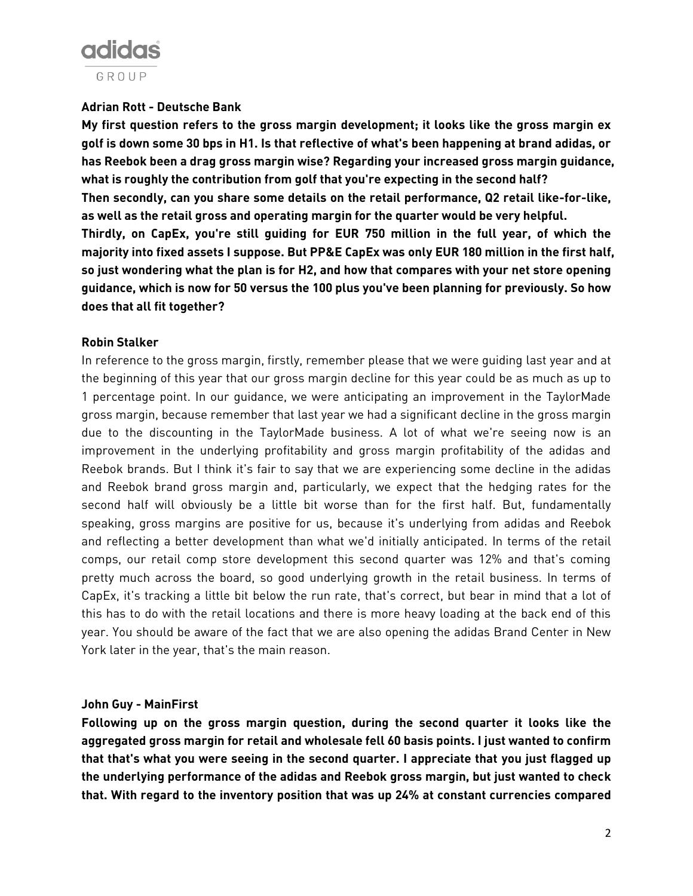# adidas GROUP

# **Adrian Rott - Deutsche Bank**

**My first question refers to the gross margin development; it looks like the gross margin ex golf is down some 30 bps in H1. Is that reflective of what's been happening at brand adidas, or has Reebok been a drag gross margin wise? Regarding your increased gross margin guidance, what is roughly the contribution from golf that you're expecting in the second half? Then secondly, can you share some details on the retail performance, Q2 retail like-for-like, as well as the retail gross and operating margin for the quarter would be very helpful. Thirdly, on CapEx, you're still guiding for EUR 750 million in the full year, of which the majority into fixed assets I suppose. But PP&E CapEx was only EUR 180 million in the first half, so just wondering what the plan is for H2, and how that compares with your net store opening guidance, which is now for 50 versus the 100 plus you've been planning for previously. So how does that all fit together?**

## **Robin Stalker**

In reference to the gross margin, firstly, remember please that we were guiding last year and at the beginning of this year that our gross margin decline for this year could be as much as up to 1 percentage point. In our guidance, we were anticipating an improvement in the TaylorMade gross margin, because remember that last year we had a significant decline in the gross margin due to the discounting in the TaylorMade business. A lot of what we're seeing now is an improvement in the underlying profitability and gross margin profitability of the adidas and Reebok brands. But I think it's fair to say that we are experiencing some decline in the adidas and Reebok brand gross margin and, particularly, we expect that the hedging rates for the second half will obviously be a little bit worse than for the first half. But, fundamentally speaking, gross margins are positive for us, because it's underlying from adidas and Reebok and reflecting a better development than what we'd initially anticipated. In terms of the retail comps, our retail comp store development this second quarter was 12% and that's coming pretty much across the board, so good underlying growth in the retail business. In terms of CapEx, it's tracking a little bit below the run rate, that's correct, but bear in mind that a lot of this has to do with the retail locations and there is more heavy loading at the back end of this year. You should be aware of the fact that we are also opening the adidas Brand Center in New York later in the year, that's the main reason.

## **John Guy - MainFirst**

**Following up on the gross margin question, during the second quarter it looks like the aggregated gross margin for retail and wholesale fell 60 basis points. I just wanted to confirm that that's what you were seeing in the second quarter. I appreciate that you just flagged up the underlying performance of the adidas and Reebok gross margin, but just wanted to check that. With regard to the inventory position that was up 24% at constant currencies compared**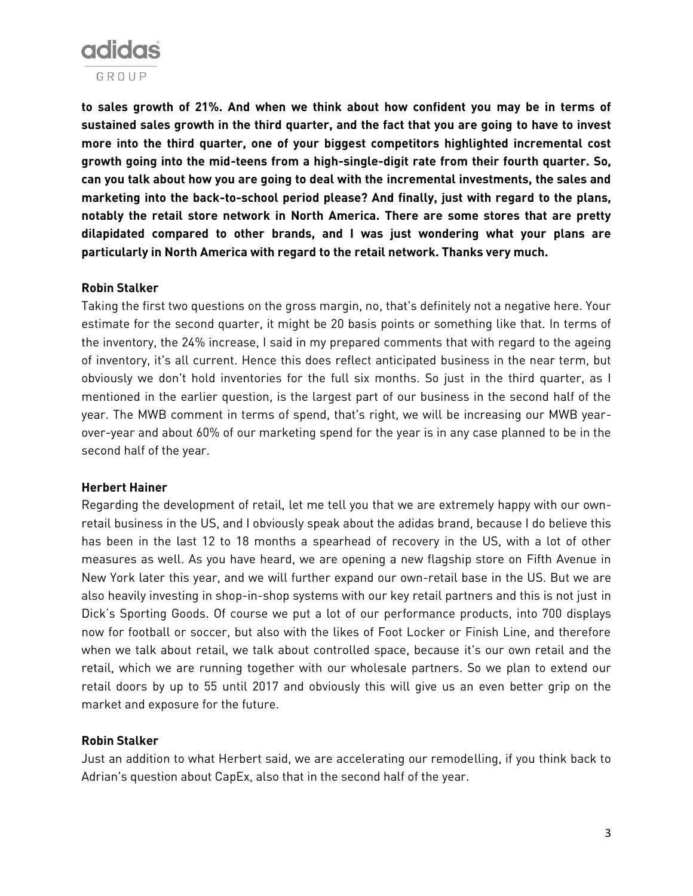

**to sales growth of 21%. And when we think about how confident you may be in terms of sustained sales growth in the third quarter, and the fact that you are going to have to invest more into the third quarter, one of your biggest competitors highlighted incremental cost growth going into the mid-teens from a high-single-digit rate from their fourth quarter. So, can you talk about how you are going to deal with the incremental investments, the sales and marketing into the back-to-school period please? And finally, just with regard to the plans, notably the retail store network in North America. There are some stores that are pretty dilapidated compared to other brands, and I was just wondering what your plans are particularly in North America with regard to the retail network. Thanks very much.**

#### **Robin Stalker**

Taking the first two questions on the gross margin, no, that's definitely not a negative here. Your estimate for the second quarter, it might be 20 basis points or something like that. In terms of the inventory, the 24% increase, I said in my prepared comments that with regard to the ageing of inventory, it's all current. Hence this does reflect anticipated business in the near term, but obviously we don't hold inventories for the full six months. So just in the third quarter, as I mentioned in the earlier question, is the largest part of our business in the second half of the year. The MWB comment in terms of spend, that's right, we will be increasing our MWB yearover-year and about 60% of our marketing spend for the year is in any case planned to be in the second half of the year.

#### **Herbert Hainer**

Regarding the development of retail, let me tell you that we are extremely happy with our ownretail business in the US, and I obviously speak about the adidas brand, because I do believe this has been in the last 12 to 18 months a spearhead of recovery in the US, with a lot of other measures as well. As you have heard, we are opening a new flagship store on Fifth Avenue in New York later this year, and we will further expand our own-retail base in the US. But we are also heavily investing in shop-in-shop systems with our key retail partners and this is not just in Dick's Sporting Goods. Of course we put a lot of our performance products, into 700 displays now for football or soccer, but also with the likes of Foot Locker or Finish Line, and therefore when we talk about retail, we talk about controlled space, because it's our own retail and the retail, which we are running together with our wholesale partners. So we plan to extend our retail doors by up to 55 until 2017 and obviously this will give us an even better grip on the market and exposure for the future.

## **Robin Stalker**

Just an addition to what Herbert said, we are accelerating our remodelling, if you think back to Adrian's question about CapEx, also that in the second half of the year.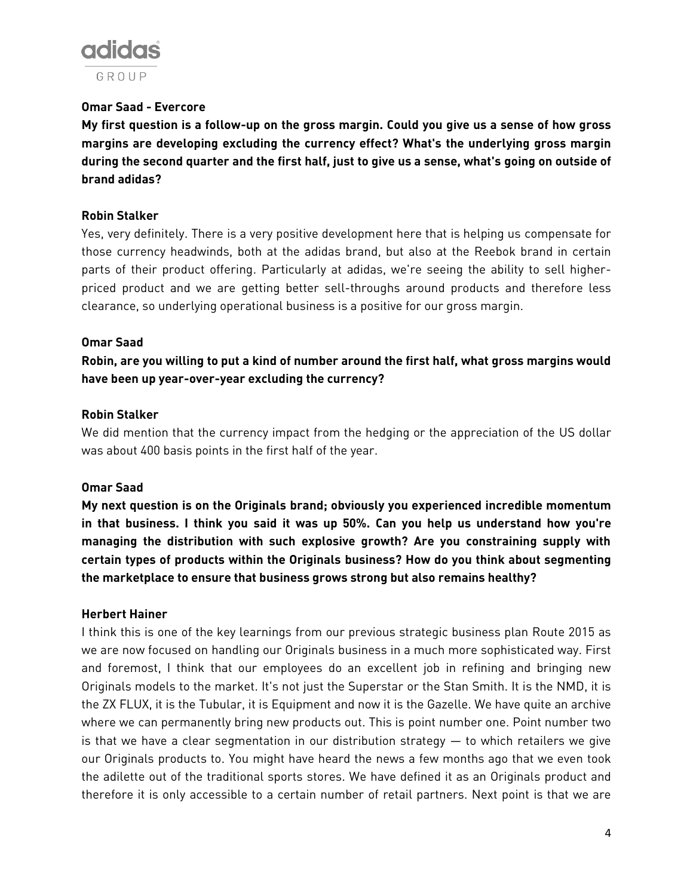

## **Omar Saad - Evercore**

**My first question is a follow-up on the gross margin. Could you give us a sense of how gross margins are developing excluding the currency effect? What's the underlying gross margin during the second quarter and the first half, just to give us a sense, what's going on outside of brand adidas?**

## **Robin Stalker**

Yes, very definitely. There is a very positive development here that is helping us compensate for those currency headwinds, both at the adidas brand, but also at the Reebok brand in certain parts of their product offering. Particularly at adidas, we're seeing the ability to sell higherpriced product and we are getting better sell-throughs around products and therefore less clearance, so underlying operational business is a positive for our gross margin.

## **Omar Saad**

**Robin, are you willing to put a kind of number around the first half, what gross margins would have been up year-over-year excluding the currency?**

## **Robin Stalker**

We did mention that the currency impact from the hedging or the appreciation of the US dollar was about 400 basis points in the first half of the year.

#### **Omar Saad**

**My next question is on the Originals brand; obviously you experienced incredible momentum in that business. I think you said it was up 50%. Can you help us understand how you're managing the distribution with such explosive growth? Are you constraining supply with certain types of products within the Originals business? How do you think about segmenting the marketplace to ensure that business grows strong but also remains healthy?**

## **Herbert Hainer**

I think this is one of the key learnings from our previous strategic business plan Route 2015 as we are now focused on handling our Originals business in a much more sophisticated way. First and foremost, I think that our employees do an excellent job in refining and bringing new Originals models to the market. It's not just the Superstar or the Stan Smith. It is the NMD, it is the ZX FLUX, it is the Tubular, it is Equipment and now it is the Gazelle. We have quite an archive where we can permanently bring new products out. This is point number one. Point number two is that we have a clear segmentation in our distribution strategy — to which retailers we give our Originals products to. You might have heard the news a few months ago that we even took the adilette out of the traditional sports stores. We have defined it as an Originals product and therefore it is only accessible to a certain number of retail partners. Next point is that we are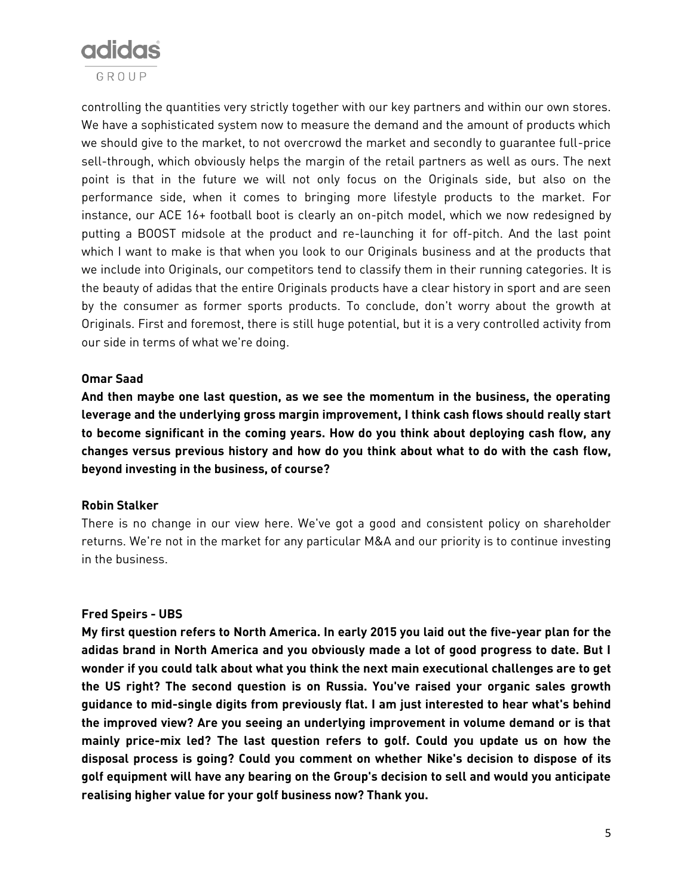

controlling the quantities very strictly together with our key partners and within our own stores. We have a sophisticated system now to measure the demand and the amount of products which we should give to the market, to not overcrowd the market and secondly to guarantee full-price sell-through, which obviously helps the margin of the retail partners as well as ours. The next point is that in the future we will not only focus on the Originals side, but also on the performance side, when it comes to bringing more lifestyle products to the market. For instance, our ACE 16+ football boot is clearly an on-pitch model, which we now redesigned by putting a BOOST midsole at the product and re-launching it for off-pitch. And the last point which I want to make is that when you look to our Originals business and at the products that we include into Originals, our competitors tend to classify them in their running categories. It is the beauty of adidas that the entire Originals products have a clear history in sport and are seen by the consumer as former sports products. To conclude, don't worry about the growth at Originals. First and foremost, there is still huge potential, but it is a very controlled activity from our side in terms of what we're doing.

#### **Omar Saad**

**And then maybe one last question, as we see the momentum in the business, the operating leverage and the underlying gross margin improvement, I think cash flows should really start to become significant in the coming years. How do you think about deploying cash flow, any changes versus previous history and how do you think about what to do with the cash flow, beyond investing in the business, of course?**

#### **Robin Stalker**

There is no change in our view here. We've got a good and consistent policy on shareholder returns. We're not in the market for any particular M&A and our priority is to continue investing in the business.

## **Fred Speirs - UBS**

**My first question refers to North America. In early 2015 you laid out the five-year plan for the adidas brand in North America and you obviously made a lot of good progress to date. But I wonder if you could talk about what you think the next main executional challenges are to get the US right? The second question is on Russia. You've raised your organic sales growth guidance to mid-single digits from previously flat. I am just interested to hear what's behind the improved view? Are you seeing an underlying improvement in volume demand or is that mainly price-mix led? The last question refers to golf. Could you update us on how the disposal process is going? Could you comment on whether Nike's decision to dispose of its golf equipment will have any bearing on the Group's decision to sell and would you anticipate realising higher value for your golf business now? Thank you.**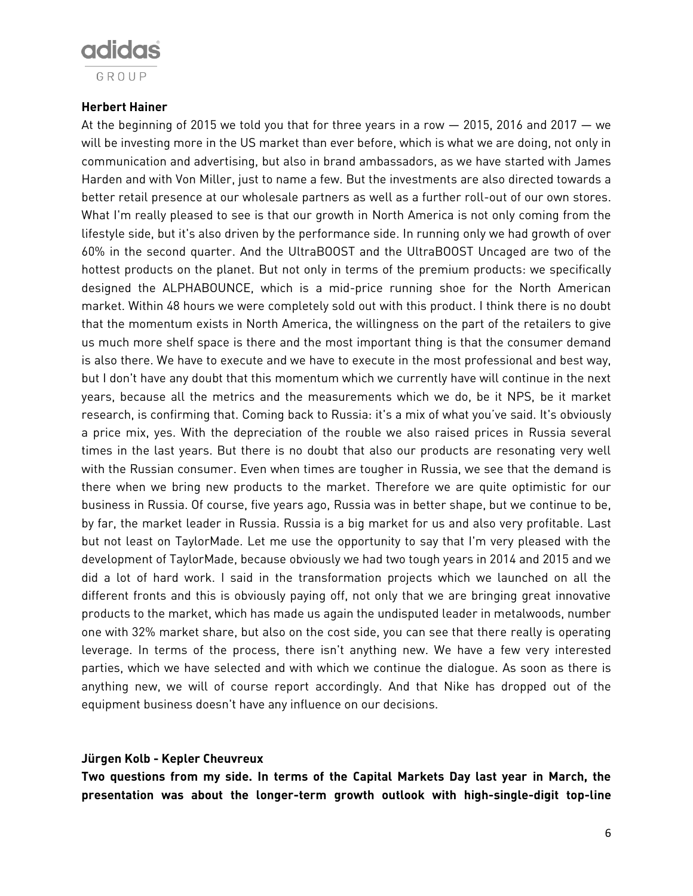

## **Herbert Hainer**

At the beginning of 2015 we told you that for three years in a row  $-$  2015, 2016 and 2017  $-$  we will be investing more in the US market than ever before, which is what we are doing, not only in communication and advertising, but also in brand ambassadors, as we have started with James Harden and with Von Miller, just to name a few. But the investments are also directed towards a better retail presence at our wholesale partners as well as a further roll-out of our own stores. What I'm really pleased to see is that our growth in North America is not only coming from the lifestyle side, but it's also driven by the performance side. In running only we had growth of over 60% in the second quarter. And the UltraBOOST and the UltraBOOST Uncaged are two of the hottest products on the planet. But not only in terms of the premium products: we specifically designed the ALPHABOUNCE, which is a mid-price running shoe for the North American market. Within 48 hours we were completely sold out with this product. I think there is no doubt that the momentum exists in North America, the willingness on the part of the retailers to give us much more shelf space is there and the most important thing is that the consumer demand is also there. We have to execute and we have to execute in the most professional and best way, but I don't have any doubt that this momentum which we currently have will continue in the next years, because all the metrics and the measurements which we do, be it NPS, be it market research, is confirming that. Coming back to Russia: it's a mix of what you've said. It's obviously a price mix, yes. With the depreciation of the rouble we also raised prices in Russia several times in the last years. But there is no doubt that also our products are resonating very well with the Russian consumer. Even when times are tougher in Russia, we see that the demand is there when we bring new products to the market. Therefore we are quite optimistic for our business in Russia. Of course, five years ago, Russia was in better shape, but we continue to be, by far, the market leader in Russia. Russia is a big market for us and also very profitable. Last but not least on TaylorMade. Let me use the opportunity to say that I'm very pleased with the development of TaylorMade, because obviously we had two tough years in 2014 and 2015 and we did a lot of hard work. I said in the transformation projects which we launched on all the different fronts and this is obviously paying off, not only that we are bringing great innovative products to the market, which has made us again the undisputed leader in metalwoods, number one with 32% market share, but also on the cost side, you can see that there really is operating leverage. In terms of the process, there isn't anything new. We have a few very interested parties, which we have selected and with which we continue the dialogue. As soon as there is anything new, we will of course report accordingly. And that Nike has dropped out of the equipment business doesn't have any influence on our decisions.

## **Jürgen Kolb - Kepler Cheuvreux**

**Two questions from my side. In terms of the Capital Markets Day last year in March, the presentation was about the longer-term growth outlook with high-single-digit top-line**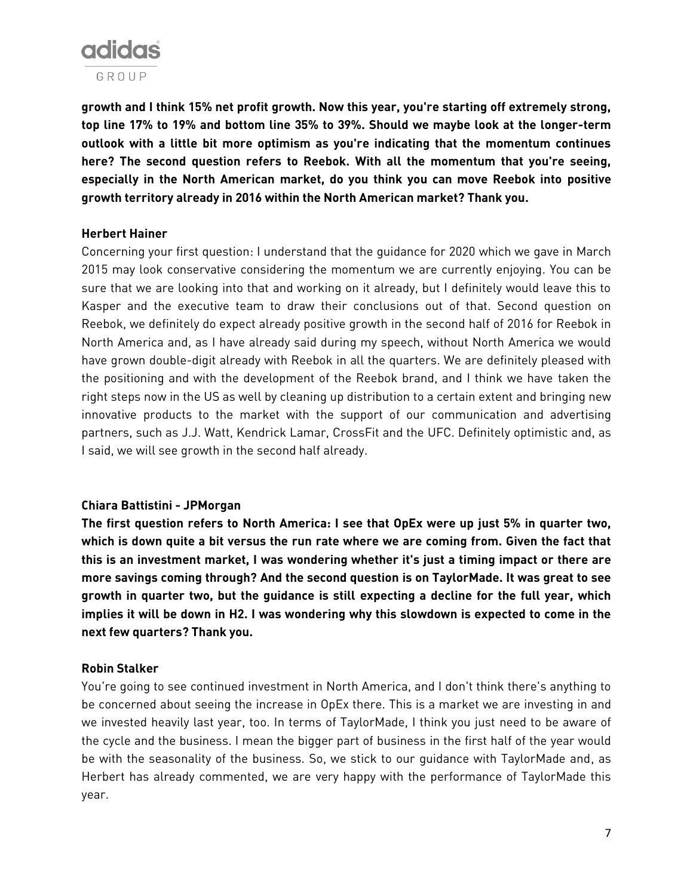

**growth and I think 15% net profit growth. Now this year, you're starting off extremely strong, top line 17% to 19% and bottom line 35% to 39%. Should we maybe look at the longer-term outlook with a little bit more optimism as you're indicating that the momentum continues here? The second question refers to Reebok. With all the momentum that you're seeing, especially in the North American market, do you think you can move Reebok into positive growth territory already in 2016 within the North American market? Thank you.**

## **Herbert Hainer**

Concerning your first question: I understand that the guidance for 2020 which we gave in March 2015 may look conservative considering the momentum we are currently enjoying. You can be sure that we are looking into that and working on it already, but I definitely would leave this to Kasper and the executive team to draw their conclusions out of that. Second question on Reebok, we definitely do expect already positive growth in the second half of 2016 for Reebok in North America and, as I have already said during my speech, without North America we would have grown double-digit already with Reebok in all the quarters. We are definitely pleased with the positioning and with the development of the Reebok brand, and I think we have taken the right steps now in the US as well by cleaning up distribution to a certain extent and bringing new innovative products to the market with the support of our communication and advertising partners, such as J.J. Watt, Kendrick Lamar, CrossFit and the UFC. Definitely optimistic and, as I said, we will see growth in the second half already.

## **Chiara Battistini - JPMorgan**

**The first question refers to North America: I see that OpEx were up just 5% in quarter two, which is down quite a bit versus the run rate where we are coming from. Given the fact that this is an investment market, I was wondering whether it's just a timing impact or there are more savings coming through? And the second question is on TaylorMade. It was great to see growth in quarter two, but the guidance is still expecting a decline for the full year, which implies it will be down in H2. I was wondering why this slowdown is expected to come in the next few quarters? Thank you.**

## **Robin Stalker**

You're going to see continued investment in North America, and I don't think there's anything to be concerned about seeing the increase in OpEx there. This is a market we are investing in and we invested heavily last year, too. In terms of TaylorMade, I think you just need to be aware of the cycle and the business. I mean the bigger part of business in the first half of the year would be with the seasonality of the business. So, we stick to our guidance with TaylorMade and, as Herbert has already commented, we are very happy with the performance of TaylorMade this year.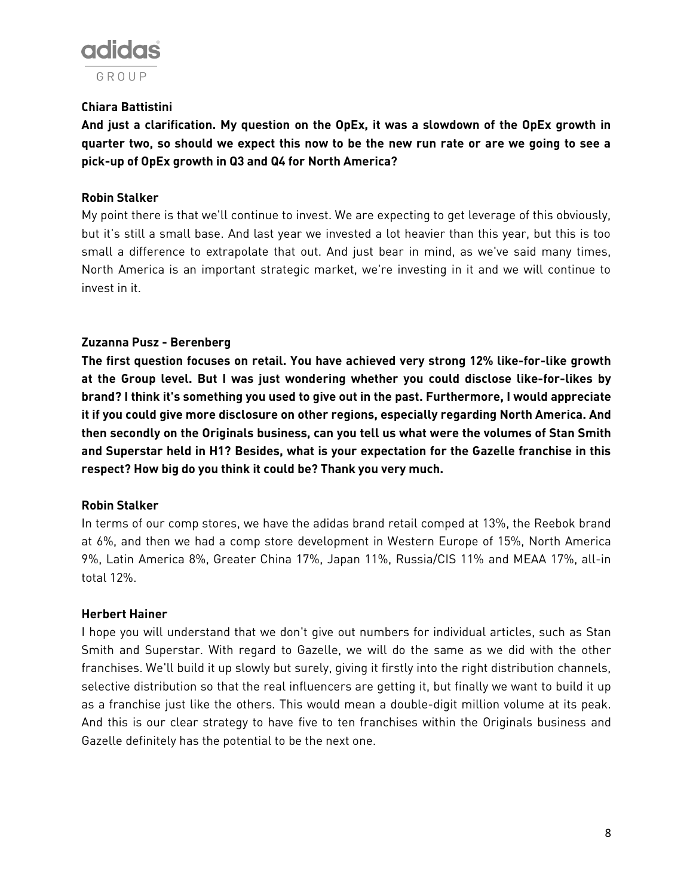

# **Chiara Battistini**

**And just a clarification. My question on the OpEx, it was a slowdown of the OpEx growth in quarter two, so should we expect this now to be the new run rate or are we going to see a pick-up of OpEx growth in Q3 and Q4 for North America?**

## **Robin Stalker**

My point there is that we'll continue to invest. We are expecting to get leverage of this obviously, but it's still a small base. And last year we invested a lot heavier than this year, but this is too small a difference to extrapolate that out. And just bear in mind, as we've said many times, North America is an important strategic market, we're investing in it and we will continue to invest in it.

## **Zuzanna Pusz - Berenberg**

**The first question focuses on retail. You have achieved very strong 12% like-for-like growth at the Group level. But I was just wondering whether you could disclose like-for-likes by brand? I think it's something you used to give out in the past. Furthermore, I would appreciate it if you could give more disclosure on other regions, especially regarding North America. And then secondly on the Originals business, can you tell us what were the volumes of Stan Smith and Superstar held in H1? Besides, what is your expectation for the Gazelle franchise in this respect? How big do you think it could be? Thank you very much.**

## **Robin Stalker**

In terms of our comp stores, we have the adidas brand retail comped at 13%, the Reebok brand at 6%, and then we had a comp store development in Western Europe of 15%, North America 9%, Latin America 8%, Greater China 17%, Japan 11%, Russia/CIS 11% and MEAA 17%, all-in total 12%.

## **Herbert Hainer**

I hope you will understand that we don't give out numbers for individual articles, such as Stan Smith and Superstar. With regard to Gazelle, we will do the same as we did with the other franchises. We'll build it up slowly but surely, giving it firstly into the right distribution channels, selective distribution so that the real influencers are getting it, but finally we want to build it up as a franchise just like the others. This would mean a double-digit million volume at its peak. And this is our clear strategy to have five to ten franchises within the Originals business and Gazelle definitely has the potential to be the next one.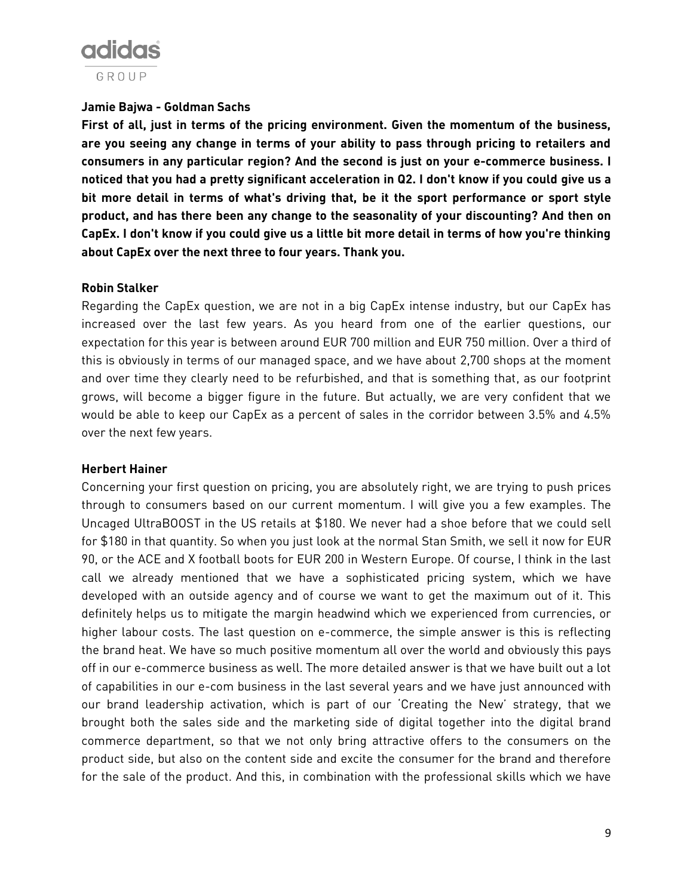# adidas GROUP

## **Jamie Bajwa - Goldman Sachs**

**First of all, just in terms of the pricing environment. Given the momentum of the business, are you seeing any change in terms of your ability to pass through pricing to retailers and consumers in any particular region? And the second is just on your e-commerce business. I noticed that you had a pretty significant acceleration in Q2. I don't know if you could give us a bit more detail in terms of what's driving that, be it the sport performance or sport style product, and has there been any change to the seasonality of your discounting? And then on CapEx. I don't know if you could give us a little bit more detail in terms of how you're thinking about CapEx over the next three to four years. Thank you.**

## **Robin Stalker**

Regarding the CapEx question, we are not in a big CapEx intense industry, but our CapEx has increased over the last few years. As you heard from one of the earlier questions, our expectation for this year is between around EUR 700 million and EUR 750 million. Over a third of this is obviously in terms of our managed space, and we have about 2,700 shops at the moment and over time they clearly need to be refurbished, and that is something that, as our footprint grows, will become a bigger figure in the future. But actually, we are very confident that we would be able to keep our CapEx as a percent of sales in the corridor between 3.5% and 4.5% over the next few years.

## **Herbert Hainer**

Concerning your first question on pricing, you are absolutely right, we are trying to push prices through to consumers based on our current momentum. I will give you a few examples. The Uncaged UltraBOOST in the US retails at \$180. We never had a shoe before that we could sell for \$180 in that quantity. So when you just look at the normal Stan Smith, we sell it now for EUR 90, or the ACE and X football boots for EUR 200 in Western Europe. Of course, I think in the last call we already mentioned that we have a sophisticated pricing system, which we have developed with an outside agency and of course we want to get the maximum out of it. This definitely helps us to mitigate the margin headwind which we experienced from currencies, or higher labour costs. The last question on e-commerce, the simple answer is this is reflecting the brand heat. We have so much positive momentum all over the world and obviously this pays off in our e-commerce business as well. The more detailed answer is that we have built out a lot of capabilities in our e-com business in the last several years and we have just announced with our brand leadership activation, which is part of our 'Creating the New' strategy, that we brought both the sales side and the marketing side of digital together into the digital brand commerce department, so that we not only bring attractive offers to the consumers on the product side, but also on the content side and excite the consumer for the brand and therefore for the sale of the product. And this, in combination with the professional skills which we have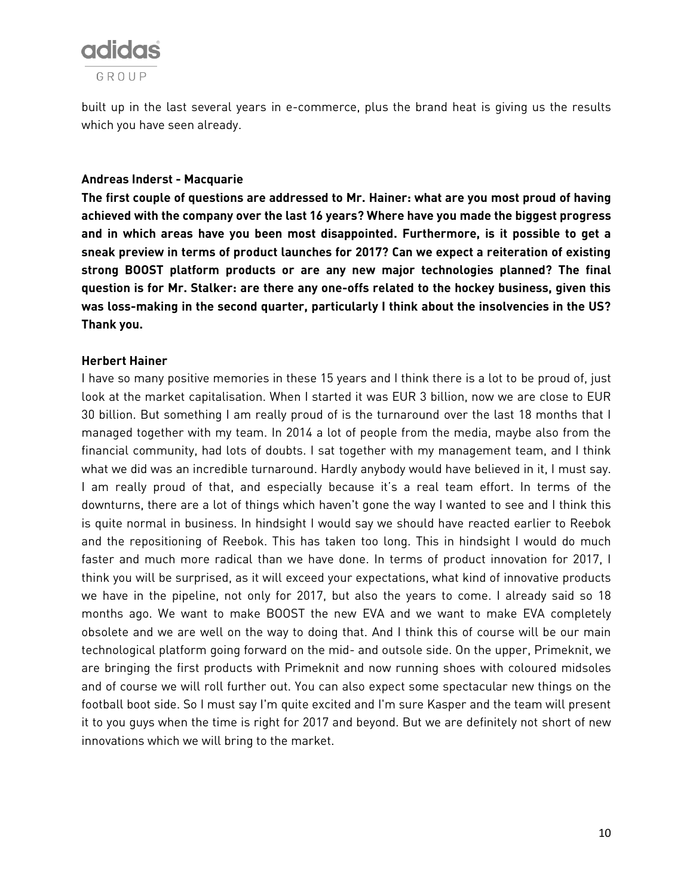

built up in the last several years in e-commerce, plus the brand heat is giving us the results which you have seen already.

#### **Andreas Inderst - Macquarie**

**The first couple of questions are addressed to Mr. Hainer: what are you most proud of having achieved with the company over the last 16 years? Where have you made the biggest progress and in which areas have you been most disappointed. Furthermore, is it possible to get a sneak preview in terms of product launches for 2017? Can we expect a reiteration of existing strong BOOST platform products or are any new major technologies planned? The final question is for Mr. Stalker: are there any one-offs related to the hockey business, given this was loss-making in the second quarter, particularly I think about the insolvencies in the US? Thank you.**

#### **Herbert Hainer**

I have so many positive memories in these 15 years and I think there is a lot to be proud of, just look at the market capitalisation. When I started it was EUR 3 billion, now we are close to EUR 30 billion. But something I am really proud of is the turnaround over the last 18 months that I managed together with my team. In 2014 a lot of people from the media, maybe also from the financial community, had lots of doubts. I sat together with my management team, and I think what we did was an incredible turnaround. Hardly anybody would have believed in it, I must say. I am really proud of that, and especially because it's a real team effort. In terms of the downturns, there are a lot of things which haven't gone the way I wanted to see and I think this is quite normal in business. In hindsight I would say we should have reacted earlier to Reebok and the repositioning of Reebok. This has taken too long. This in hindsight I would do much faster and much more radical than we have done. In terms of product innovation for 2017, I think you will be surprised, as it will exceed your expectations, what kind of innovative products we have in the pipeline, not only for 2017, but also the years to come. I already said so 18 months ago. We want to make BOOST the new EVA and we want to make EVA completely obsolete and we are well on the way to doing that. And I think this of course will be our main technological platform going forward on the mid- and outsole side. On the upper, Primeknit, we are bringing the first products with Primeknit and now running shoes with coloured midsoles and of course we will roll further out. You can also expect some spectacular new things on the football boot side. So I must say I'm quite excited and I'm sure Kasper and the team will present it to you guys when the time is right for 2017 and beyond. But we are definitely not short of new innovations which we will bring to the market.